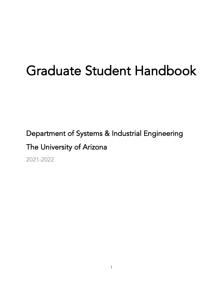# Graduate Student Handbook

Department of Systems & Industrial Engineering

# The University of Arizona

2021-2022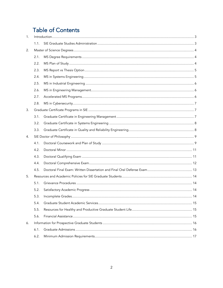# **Table of Contents**

| 1. |      |  |  |
|----|------|--|--|
|    | 1.1. |  |  |
| 2. |      |  |  |
|    | 2.1. |  |  |
|    | 2.2. |  |  |
|    | 2.3. |  |  |
|    | 2.4. |  |  |
|    | 2.5. |  |  |
|    | 2.6. |  |  |
|    | 2.7. |  |  |
|    | 2.8. |  |  |
| 3. |      |  |  |
|    | 3.1. |  |  |
|    | 3.2. |  |  |
|    | 3.3. |  |  |
| 4. |      |  |  |
|    | 4.1. |  |  |
|    | 4.2. |  |  |
|    | 4.3. |  |  |
|    | 4.4. |  |  |
|    | 4.5. |  |  |
| 5. |      |  |  |
|    | 5.1. |  |  |
|    | 5.2. |  |  |
|    | 5.3. |  |  |
|    | 5.4. |  |  |
|    | 5.5. |  |  |
|    | 5.6. |  |  |
| 6. |      |  |  |
|    | 6.1. |  |  |
|    | 6.2. |  |  |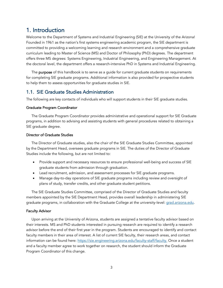# <span id="page-2-0"></span>1. Introduction

Welcome to the Department of Systems and Industrial Engineering (SIE) at the University of the Arizona! Founded in 1961 as the nation's first systems engineering academic program, the SIE department is committed to providing a welcoming learning and research environment and a comprehensive graduate curriculum leading to Master of Science (MS) and Doctor of Philosophy (PhD) degrees. The department offers three MS degrees: Systems Engineering, Industrial Engineering, and Engineering Management. At the doctoral level, the department offers a research-intensive PhD in Systems and Industrial Engineering.

The **purpose** of this handbook is to serve as a quide for current graduate students on requirements for completing SIE graduate programs. Additional information is also provided for prospective students to help them to assess opportunities for graduate studies in SIE.

### <span id="page-2-1"></span>1.1. SIE Graduate Studies Administration

The following are key contacts of individuals who will support students in their SIE graduate studies.

#### Graduate Program Coordinator

The Graduate Program Coordinator provides administrative and operational support for SIE Graduate programs, in addition to advising and assisting students with general procedures related to obtaining a SIE graduate degree.

#### Director of Graduate Studies

The Director of Graduate studies, also the chair of the SIE Graduate Studies Committee, appointed by the Department Head, oversees graduate programs in SIE. The duties of the Director of Graduate Studies include the following, but are not limited to:

- Provide support and necessary resources to ensure professional well-being and success of SIE graduate students from admission through graduation.
- Lead recruitment, admission, and assessment processes for SIE graduate programs.
- Manage day-to-day operations of SIE graduate programs including review and oversight of plans of study, transfer credits, and other graduate student petitions.

The SIE Graduate Studies Committee, comprised of the Director of Graduate Studies and faculty members appointed by the SIE Department Head, provides overall leadership in administering SIE graduate programs, in collaboration with the Graduate College at the university-level: [grad.arizona.edu.](https://grad.arizona.edu/)

#### Faculty Advisor

Upon arriving at the University of Arizona, students are assigned a tentative faculty advisor based on their interests. MS and PhD students interested in pursuing research are required to identify a research advisor before the end of their first year in the program. Students are encouraged to identify and contact faculty members in their area of interest. A list of current SIE faculty, their research areas, and contact information can be found here:<https://sie.engineering.arizona.edu/faculty-staff/faculty.> Once a student and a faculty member agree to work together on research, the student should inform the Graduate Program Coordinator of this change.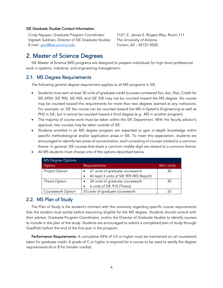#### SIE Graduate Studies Contact Information

Cindy Nguyen, Graduate Program Coordinator Vignesh Subbian, Director of SIE Graduate Studies E-mail[: grad@sie.arizona.edu](mailto:grad@sie.arizona.edu)

1127, E. James E. Rogers Way, Room 111 The University of Arizona Tucson, AZ – 85721-0020

# <span id="page-3-0"></span>2. Master of Science Degrees

SIE Master of Science (MS) programs are designed to prepare individuals for high-level professional work in systems, industrial, and engineering management.

### <span id="page-3-1"></span>2.1. MS Degree Requirements

The following general degree requirement applies to all MS programs in SIE.

- Students must earn at least 30 units of graduate credit (courses numbered 5xx, 6xx, 9xx). Credit for SIE 695A, SIE 900, SIE 920, and SIE 930 may not be counted toward the MS degree. No course may be counted toward the requirements for more than two degrees (earned at any institution). For example, an SIE 5xx course can be counted toward the MS in Systems Engineering as well as PhD in SIE, but it cannot be counted toward a third degree (e.g., MS in another program).
- The majority of course work must be taken within the SIE Department. With the faculty advisor's approval, two courses may be taken outside of SIE.
- Students enrolled in an MS degree program are expected to gain in-depth knowledge within specific methodological and/or application areas in SIE. To meet this expectation, students are encouraged to identify two areas of concentration, each consisting of courses related to a common theme. In general, SIE courses that share a common middle digit are related to a common theme.

| <b>MS Degree Options</b> |                                                      |            |  |
|--------------------------|------------------------------------------------------|------------|--|
| Option                   | Requirements                                         | Min. Units |  |
| Project Option           | 27 units of graduate coursework                      | 30         |  |
|                          | At least 3 units of SIE 909 (MS Report)<br>$\bullet$ |            |  |
| Thesis Option            | 24 units of graduate coursework                      | 30         |  |
|                          | 6 units of SIE 910 (Thesis)<br>$\bullet$             |            |  |
| Coursework Option        | 33 units of graduate coursework                      | 33         |  |

• All MS students must choose one of the options described below.

### <span id="page-3-2"></span>2.2. MS Plan of Study

The Plan of Study is the student's contract with the university regarding specific course requirements that the student must satisfy before becoming eligible for the MS degree. Students should consult with their advisor, Graduate Program Coordinator, and/or the Director of Graduate Studies to identify courses to include in the plan of the study. Students are encouraged to submit a completed plan of study through GradPath before the end of the first year in the program.

Performance Requirements: A cumulative GPA of 3.0 or higher must be maintained on all coursework taken for graduate credit. A grade of C or higher is required for a course to be used to satisfy the degree requirements (A or B for transfer credits).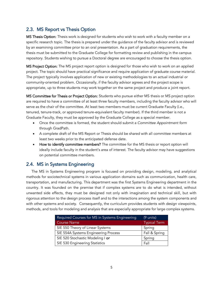### <span id="page-4-0"></span>2.3. MS Report vs Thesis Option

MS Thesis Option: Thesis work is designed for students who wish to work with a faculty member on a specific research topic. The thesis is prepared under the guidance of the faculty advisor and is reviewed by an examining committee prior to an oral presentation. As a part of graduation requirements, the thesis must be submitted to the Graduate College for formatting review and publishing in the campus repository. Students wishing to pursue a Doctoral degree are encouraged to choose the thesis option.

MS Project Option: The MS project report option is designed for those who wish to work on an applied project. The topic should have practical significance and require application of graduate course material. The project typically involves application of new or existing methodologies to an actual industrial or community-oriented problem. Occasionally, if the faculty advisor agrees and the project scope is appropriate, up to three students may work together on the same project and produce a joint report.

MS Committee for Thesis or Project Option: Students who pursue either MS thesis or MS project option are required to have a committee of at least three faculty members, including the faculty advisor who will serve as the chair of the committee. At least two members must be current Graduate Faculty (i.e., tenured, tenure-track, or approved tenure-equivalent faculty member). If the third member is not a Graduate Faculty, they must be approved by the Graduate College as a special member.

- Once the committee is formed, the student should submit a *Committee Appointment form* through GradPath.
- A complete draft of the MS Report or Thesis should be shared with all committee members at least two weeks prior to the anticipated defense date.
- How to identify committee members? The committee for the MS thesis or report option will ideally include faculty in the student's area of interest. The faculty advisor may have suggestions on potential committee members.

### <span id="page-4-1"></span>2.4. MS in Systems Engineering

The MS in Systems Engineering program is focused on providing design, modeling, and analytical methods for sociotechnical systems in various application domains such as communication, health care, transportation, and manufacturing. This department was the first Systems Engineering department in the country. It was founded on the premise that if complex systems are to do what is intended, without unwanted side effects, they must be designed not only with imagination and technical skill, but with rigorous attention to the design process itself and to the interactions among the system components and with other systems and society. Consequently, the curriculum provides students with design viewpoints, methods, and tools for modeling and analysis that are especially appropriate for large complex systems.

| Required Courses for MS in Systems Engineering | (9 units)           |
|------------------------------------------------|---------------------|
| Course Name                                    | <b>Typical Term</b> |
| SIE 550 Theory of Linear Systems               | Spring              |
| SIE 554A Systems Engineering Process           | Fall & Spring       |
| SIE 520 Stochastic Modeling I or               | Spring              |
| SIE 530 Engineering Statistics                 | Fall                |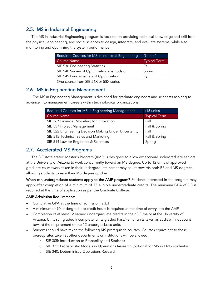# <span id="page-5-0"></span>2.5. MS in Industrial Engineering

The MS in Industrial Engineering program is focused on providing technical knowledge and skill from the physical, engineering, and social sciences to design, integrate, and evaluate systems, while also monitoring and optimizing the system performance.

| Required Courses for MS in Industrial Engineering | (9 units)           |
|---------------------------------------------------|---------------------|
| <b>Course Name</b>                                | <b>Typical Term</b> |
| SIE 530 Engineering Statistics                    | Fall                |
| SIE 540 Survey of Optimization methods or         | Spring              |
| SIE 545 Fundamentals of Optimization              | Fall                |
| One course from SIE 56X or 58X series             |                     |

### <span id="page-5-1"></span>2.6. MS in Engineering Management

The MS in Engineering Management is designed for graduate engineers and scientists aspiring to advance into management careers within technological organizations.

| Required Courses for MS in Engineering Management     | $(15$ units)        |
|-------------------------------------------------------|---------------------|
| <b>Course Name</b>                                    | <b>Typical Term</b> |
| SIE 567 Financial Modeling for Innovation             | Fall                |
| SIE 557 Project Management                            | Fall & Spring       |
| SIE 522 Engineering Decision Making Under Uncertainty | Fall                |
| SIE 515 Technical Sales and Marketing                 | Fall & Spring       |
| SIE 514 Law for Engineers & Scientists                | Spring              |

### <span id="page-5-2"></span>2.7. Accelerated MS Programs

The SIE Accelerated Master's Program (AMP) is designed to allow exceptional undergraduate seniors at the University of Arizona to work concurrently toward an MS degree. Up to 12 units of approved graduate coursework taken in their undergraduate career may count towards both BS and MS degrees, allowing students to earn their MS degree quicker.

When can undergraduate students apply to the AMP program? Students interested in the program may apply after completion of a minimum of 75 eligible undergraduate credits. The minimum GPA of 3.3 is required at the time of application as per the Graduate College.

### AMP Admission Requirements

- Cumulative GPA at the time of admission is 3.3
- A minimum of 90 undergraduate credit hours is required at the time of **entry** into the AMP
- Completion of at least 12 earned undergraduate credits in their SIE major at the University of Arizona. Units still graded Incomplete, units graded Pass/Fail or units taken as audit will not count toward the requirement of the 12 undergraduate units
- Students should have taken the following MS prerequisite courses. Courses equivalent to these prerequisites taken at other departments or institutions will be allowed.
	- o SIE 305: Introduction to Probability and Statistics
	- o SIE 321: Probabilistic Models in Operations Research (optional for MS in EMG students)
	- o SIE 340: Deterministic Operations Research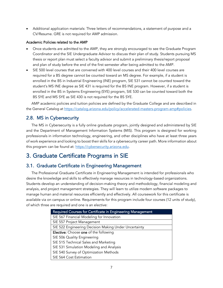• Additional application materials: Three letters of recommendations, a statement of purpose and a CV/Resume. GRE is not required for AMP admission.

### Academic Policies related to the AMP

- Once students are admitted to the AMP, they are strongly encouraged to see the Graduate Program Coordinator and the SIE Undergraduate Advisor to discuss their plan of study. Students pursuing MS thesis or report plan must select a faculty advisor and submit a preliminary thesis/report proposal and plan of study before the end of the first semester after being admitted to the AMP.
- SIE 500 level courses that are convened with 400 level courses and their 400 level courses are required for a BS degree cannot be counted toward an MS degree. For example, if a student is enrolled in the BS in Industrial Engineering (INE) program, SIE 531 cannot be counted toward the student's MS INE degree as SIE 431 is required for the BS INE program. However, if a student is enrolled in the BS in Systems Engineering (SYE) program, SIE 530 can be counted toward both the BS SYE and MS SYE as SIE 430 is not required for the BS SYE.

AMP academic policies and tuition policies are defined by the Graduate College and are described in the General Catalog at [https://catalog.arizona.edu/policy/accelerated-masters-program-amp#policies.](https://catalog.arizona.edu/policy/accelerated-masters-program-amp#policies)

## <span id="page-6-0"></span>2.8. MS in Cybersecurity

The MS in Cybersecurity is a fully online graduate program, jointly designed and administered by SIE and the Department of Management Information Systems (MIS). This program is designed for working professionals in information technology, engineering, and other disciplines who have at least three years of work experience and looking to boost their skills for a cybersecurity career path. More information about this program can be found at: [https://cybersecurity.arizona.edu.](https://cybersecurity.arizona.edu/)

# <span id="page-6-1"></span>3. Graduate Certificate Programs in SIE

### <span id="page-6-2"></span>3.1. Graduate Certificate in Engineering Management

The Professional Graduate Certificate in Engineering Management is intended for professionals who desire the knowledge and skills to effectively manage resources in technology-based organizations. Students develop an understanding of decision-making theory and methodology, financial modeling and analysis, and project management strategies. They will learn to utilize modern software packages to manage human and material resources efficiently and effectively. All coursework for this certificate is available via on campus or online. Requirements for this program include four courses (12 units of study), of which three are required and one is an elective:

| Required Courses for Certificate in Engineering Management |  |  |
|------------------------------------------------------------|--|--|
| SIE 567 Financial Modeling for Innovation                  |  |  |
| SIE 557 Project Management                                 |  |  |
| SIE 522 Engineering Decision Making Under Uncertainty      |  |  |
| Elective: Choose one of the following                      |  |  |
| SIE 506 Quality Engineering                                |  |  |
| SIE 515 Technical Sales and Marketing                      |  |  |
| SIE 531 Simulation Modeling and Analysis                   |  |  |
| SIE 540 Survey of Optimization Methods                     |  |  |
| SIE 564 Cost Estimation                                    |  |  |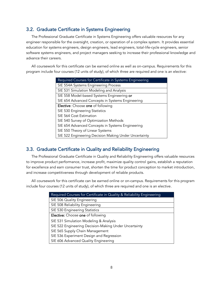### <span id="page-7-0"></span>3.2. Graduate Certificate in Systems Engineering

The Professional Graduate Certificate in Systems Engineering offers valuable resources for any engineer responsible for the oversight, creation, or operation of a complex system. It provides essential education for systems engineers, design engineers, lead engineers, total-life-cycle engineers, senior software systems engineers, and project managers seeking to increase their professional knowledge and advance their careers.

All coursework for this certificate can be earned online as well as on-campus. Requirements for this program include four courses (12 units of study), of which three are required and one is an elective:

| Required Courses for Certificate in Systems Engineering |  |  |
|---------------------------------------------------------|--|--|
| SIE 554A Systems Engineering Process                    |  |  |
| SIE 531 Simulation Modeling and Analysis                |  |  |
| SIE 558 Model-based Systems Engineering or              |  |  |
| SIE 654 Advanced Concepts in Systems Engineering        |  |  |
| Elective: Choose one of following                       |  |  |
| SIE 530 Engineering Statistics                          |  |  |
| SIE 564 Cost Estimation                                 |  |  |
| SIE 540 Survey of Optimization Methods                  |  |  |
| SIE 654 Advanced Concepts in Systems Engineering        |  |  |
| SIE 550 Theory of Linear Systems                        |  |  |
| SIE 522 Engineering Decision Making Under Uncertainty   |  |  |

### <span id="page-7-1"></span>3.3. Graduate Certificate in Quality and Reliability Engineering

The Professional Graduate Certificate in Quality and Reliability Engineering offers valuable resources to improve product performance, increase profit, maximize quality control gains, establish a reputation for excellence and earn consumer trust, shorten the time for product conception to market introduction, and increase competitiveness through development of reliable products.

All coursework for this certificate can be earned online or on-campus. Requirements for this program include four courses (12 units of study), of which three are required and one is an elective.

| Required Courses for Certificate in Quality & Reliability Engineering |  |  |
|-----------------------------------------------------------------------|--|--|
| SIE 506 Quality Engineering                                           |  |  |
| SIE 508 Reliability Engineering                                       |  |  |
| SIE 530 Engineering Statistics                                        |  |  |
| Elective: Choose one of following                                     |  |  |
| SIE 531 Simulation Modeling & Analysis                                |  |  |
| SIE 522 Engineering Decision-Making Under Uncertainty                 |  |  |
| SIE 565 Supply Chain Management                                       |  |  |
| SIE 536 Experiment Design and Regression                              |  |  |
| SIE 606 Advanced Quality Engineering                                  |  |  |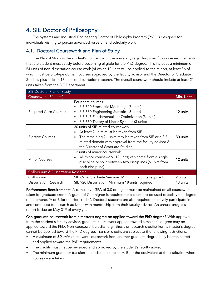# <span id="page-8-0"></span>4. SIE Doctor of Philosophy

The Systems and Industrial Engineering Doctor of Philosophy Program (PhD) is designed for individuals wishing to pursue advanced research and scholarly work.

## <span id="page-8-1"></span>4.1. Doctoral Coursework and Plan of Study

The Plan of Study is the student's contract with the university regarding specific course requirements that the student must satisfy before becoming eligible for the PhD degree. This includes a minimum of 54 units of non-dissertation course work (of which 12 units will be applied to the minor), at least 36 of which must be SIE-type domain courses approved by the faculty advisor and the Director of Graduate Studies, plus at least 18 units of dissertation research. The overall coursework should include at least 21 units taken from the SIE Department.

| SIE Doctoral Plan of Study                    |                                                                                                                                                                                                                                                                    |          |
|-----------------------------------------------|--------------------------------------------------------------------------------------------------------------------------------------------------------------------------------------------------------------------------------------------------------------------|----------|
| Coursework (54 units)                         |                                                                                                                                                                                                                                                                    |          |
| <b>Required Core Courses</b>                  | Four core courses<br>SIE 520 Stochastic Modeling I (3 units)<br>$\bullet$<br>SIE 530 Engineering Statistics (3 units)<br>$\bullet$<br>SIE 545 Fundamentals of Optimization (3 units)<br>$\bullet$<br>SIE 550 Theory of Linear Systems (3 units)<br>$\bullet$       | 12 units |
| Elective Courses                              | 30 units of SIE-related coursework<br>At least 9 units must be taken from SIE.<br>$\bullet$<br>The remaining 21 units may be taken from SIE or a SIE-<br>$\bullet$<br>related domain with approval from the faculty advisor &<br>the Director of Graduate Studies. | 30 units |
| <b>Minor Courses</b>                          | 12 units of minor coursework<br>All minor coursework (12 units) can come from a single<br>$\bullet$<br>discipline or split between two disciplines (6 units from<br>each discipline).                                                                              | 12 units |
| <b>Colloquium &amp; Dissertation Research</b> |                                                                                                                                                                                                                                                                    |          |
| Colloquium                                    | SIE 695A Graduate Seminar: Minimum 2 units required                                                                                                                                                                                                                | 2 units  |
| Dissertation Research                         | SIE 920 Dissertation: Minimum 18 units required                                                                                                                                                                                                                    | 18 units |

Performance Requirements: A cumulative GPA of 3.0 or higher must be maintained on all coursework taken for graduate credit. A grade of C or higher is required for a course to be used to satisfy the degree requirements (A or B for transfer credits). Doctoral students are also required to actively participate in and contribute to research activities with mentorship from their faculty advisor. An annual progress report is due on May 31<sup>st</sup> of every year.

Can graduate coursework from a master's degree be applied toward the PhD degree? With approval from the student's faculty advisor, graduate coursework applied toward a master's degree may be applied toward the PhD. Non-coursework credits (e.g., thesis or research credits) from a master's degree cannot be applied toward the PhD degree. Transfer credits are subject to the following restrictions:

- A maximum of *30 units* of relevant coursework from another graduate degree may be transferred and applied toward the PhD requirements.
- The credits must first be reviewed and approved by the student's faculty advisor.
- The minimum grade for transferred credits must be an A, B, or the equivalent at the institution where courses were taken.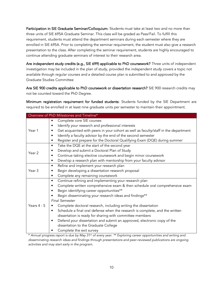Participation in SIE Graduate Seminar/Colloquium: Students must take at least two and no more than three units of SIE 695A Graduate Seminar. This class will be graded as Pass/Fail. To fulfill this requirement, students must attend the department seminars during each semester where they are enrolled in SIE 695A. Prior to completing the seminar requirement, the student must also give a research presentation to the class. After completing the seminar requirement, students are highly encouraged to continue attending graduate seminars of interest to their research area.

Are independent study credits (e.g., SIE 699) applicable to PhD coursework? Three units of independent investigation may be included in the plan of study, provided the independent study covers a topic not available through regular courses and a detailed course plan is submitted to and approved by the Graduate Studies Committee

Are SIE 900 credits applicable to PhD coursework or dissertation research? SIE 900 research credits may not be counted toward the PhD Degree.

Minimum registration requirement for funded students: Students funded by the SIE Department are required to be enrolled in at least nine graduate units per semester to maintain their appointment.

| Overview of PhD Milestones and Timeline* |                                                                                           |  |  |
|------------------------------------------|-------------------------------------------------------------------------------------------|--|--|
|                                          | Complete core SIE courses<br>٠                                                            |  |  |
|                                          | Identify your research and professional interests<br>٠                                    |  |  |
| Year 1                                   | Get acquainted with peers in your cohort as well as faculty/staff in the department<br>٠  |  |  |
|                                          | Identify a faculty advisor by the end of the second semester<br>$\bullet$                 |  |  |
|                                          | Register and prepare for the Doctoral Qualifying Exam (DQE) during summer<br>٠            |  |  |
|                                          | Take the DQE at the start of the second year<br>$\bullet$                                 |  |  |
| Year <sub>2</sub>                        | Develop and submit a Doctoral Plan of Study<br>٠                                          |  |  |
|                                          | Continue taking elective coursework and begin minor coursework<br>٠                       |  |  |
|                                          | Develop a research plan with mentorship from your faculty advisor<br>٠                    |  |  |
|                                          | Refine and implement your research plan<br>$\bullet$                                      |  |  |
| Year <sub>3</sub>                        | Begin developing a dissertation research proposal<br>٠                                    |  |  |
|                                          | Complete any remaining coursework<br>$\bullet$                                            |  |  |
|                                          | Continue refining and implementing your research plan<br>$\bullet$                        |  |  |
|                                          | Complete written comprehensive exam & then schedule oral comprehensive exam<br>٠          |  |  |
|                                          | Begin identifying career opportunities**                                                  |  |  |
|                                          | Begin disseminating your research ideas and findings**                                    |  |  |
|                                          | <b>Final Semester</b>                                                                     |  |  |
| Years $4 - 5$                            | Complete doctoral research, including writing the dissertation                            |  |  |
|                                          | Schedule a final oral defense when the research is complete, and the written<br>$\bullet$ |  |  |
|                                          | dissertation is ready for sharing with committee members                                  |  |  |
|                                          | Defend your dissertation and submit an approved, electronic copy of the<br>٠              |  |  |
|                                          | dissertation to the Graduate College                                                      |  |  |
|                                          | Complete the exit survey                                                                  |  |  |

\* *Annual progress report is due by May 31st of every year. \*\* Exploring career opportunities and writing and disseminating research ideas and findings through presentations and peer-reviewed publications are ongoing activities and may start early in the program.*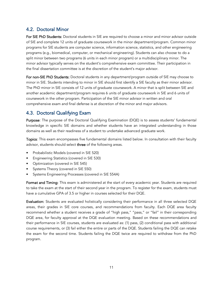# <span id="page-10-0"></span>4.2. Doctoral Minor

For SIE PhD Students: Doctoral students in SIE are required to choose a minor and minor advisor outside of SIE and complete 12 units of graduate coursework in the minor department/program. Common minor programs for SIE students are computer science, information science, statistics, and other engineering programs (e.g., biomedical, computer, or mechanical engineering). Students can also choose to do a split minor between two programs (6 units in each minor program) or a multidisciplinary minor. The minor advisor typically serves on the student's comprehensive exam committee. Their participation in the final dissertation committee is at the discretion of the student's major advisor.

For non-SIE PhD Students: Doctoral students in any department/program outside of SIE may choose to minor in SIE. Students intending to minor in SIE should first identify a SIE faculty as their minor advisor. The PhD minor in SIE consists of 12 units of graduate coursework. A minor that is split between SIE and another academic department/program requires 6 units of graduate coursework in SIE and 6 units of coursework in the other program. Participation of the SIE minor advisor in written and oral comprehensive exam and final defense is at discretion of the minor and major advisors.

# <span id="page-10-1"></span>4.3. Doctoral Qualifying Exam

Purpose: The purpose of the Doctoral Qualifying Examination (DQE) is to assess students' fundamental knowledge in specific SIE domains and whether students have an integrated understanding in those domains as well as their readiness of a student to undertake advanced graduate work.

Topics: This exam encompasses five fundamental domains listed below. In consultation with their faculty advisor, students should select three of the following areas.

- Probabilistic Models (covered in SIE 520)
- Engineering Statistics (covered in SIE 530)
- Optimization (covered in SIE 545)
- Systems Theory (covered in SIE 550)
- Systems Engineering Processes (covered in SIE 554A)

Format and Timing: This exam is administered at the start of every academic year. Students are required to take the exam at the start of their second year in the program. To register for the exam, students must have a cumulative GPA of 3.5 or higher in courses selected for their DQE.

Evaluation: Students are evaluated holistically considering their performance in all three selected DQE areas, their grades in SIE core courses, and recommendations from faculty. Each DQE area faculty recommend whether a student receives a grade of "high pass," "pass," or "fail" in their corresponding DQE area, for faculty approval at the DQE evaluation meeting. Based on these recommendations and their performance in SIE courses, students are evaluated as: (1) pass, (2) conditional pass with additional course requirements, or (3) fail either the entire or parts of the DQE. Students failing the DQE can retake the exam for the second time. Students failing the DQE twice are required to withdraw from the PhD program.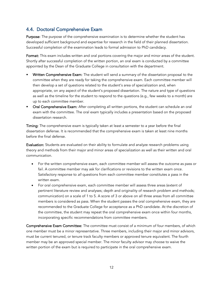# <span id="page-11-0"></span>4.4. Doctoral Comprehensive Exam

Purpose: The purpose of the comprehensive examination is to determine whether the student has developed sufficient background and expertise for research in the field of their planned dissertation. Successful completion of the examination leads to formal admission to PhD candidacy.

Format: This exam includes written and oral portions covering the major and minor areas of the student. Shortly after successful completion of the written portion, an oral exam is conducted by a committee appointed by the Dean of the Graduate College in consultation with the department.

- Written Comprehensive Exam: The student will send a summary of the dissertation proposal to the committee when they are ready for taking the comprehensive exam. Each committee member will then develop a set of questions related to the student's area of specialization and, when appropriate, on any aspect of the student's proposed dissertation. The nature and type of questions as well as the timeline for the student to respond to the questions (e.g., few weeks to a month) are up to each committee member.
- Oral Comprehensive Exam: After completing all written portions, the student can schedule an oral exam with the committee. The oral exam typically includes a presentation based on the proposed dissertation research.

Timing: The comprehensive exam is typically taken at least a semester to a year before the final dissertation defense. It is recommended that the comprehensive exam is taken at least nine months before the final defense.

Evaluation: Students are evaluated on their ability to formulate and analyze research problems using theory and methods from their major and minor areas of specialization as well as their written and oral communication.

- For the written comprehensive exam, each committee member will assess the outcome as pass or fail. A committee member may ask for clarifications or revisions to the written exam once. Satisfactory response to *all* questions from each committee member constitutes a pass in the written exam.
- For oral comprehensive exam, each committee member will assess three areas (extent of pertinent literature review and analyses; depth and originality of research problem and methods; communication) on a scale of 1 to 5. A score of 3 or above on all three areas from all committee members is considered as pass. When the student passes the oral comprehensive exam, they are recommended to the Graduate College for acceptance as a PhD candidate. At the discretion of the committee, the student may repeat the oral comprehensive exam once within four months, incorporating specific recommendations from committee members.

Comprehensive Exam Committee: The committee must consist of a minimum of four members, of which one member must be a minor representative. Three members, including their major and minor advisors, must be current tenured, or tenure track faculty members or approved tenure equivalent. The fourth member may be an approved special member. The minor faculty advisor may choose to waive the written portion of the exam but is required to participate in the oral comprehensive exam.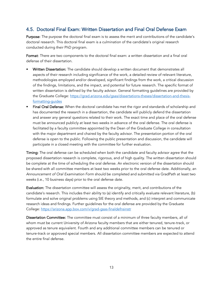### <span id="page-12-0"></span>4.5. Doctoral Final Exam: Written Dissertation and Final Oral Defense Exam

Purpose: The purpose the doctoral final exam is to assess the merit and contributions of the candidate's doctoral research. This doctoral final exam is a culmination of the candidate's original research conducted during their PhD program.

Format: There are two components to the doctoral final exam: a written dissertation and a final oral defense of their dissertation.

- Written Dissertation: The candidate should develop a written document that demonstrates all aspects of their research including significance of the work, a detailed review of relevant literature, methodologies employed and/or developed, significant findings from the work, a critical discussion of the findings, limitations, and the impact, and potential for future research. The specific format of written dissertation is defined by the faculty advisor. General formatting guidelines are provided by the Graduate College: [https://grad.arizona.edu/gsas/dissertations-theses/dissertation-and-thesis](https://grad.arizona.edu/gsas/dissertations-theses/dissertation-and-thesis-formatting-guides)[formatting-guides](https://grad.arizona.edu/gsas/dissertations-theses/dissertation-and-thesis-formatting-guides)
- Final Oral Defense: When the doctoral candidate has met the rigor and standards of scholarship and has documented the research in a dissertation, the candidate will publicly defend the dissertation and answer any general questions related to their work. The exact time and place of the oral defense must be announced publicly at least two weeks in advance of the oral defense. The oral defense is facilitated by a faculty committee appointed by the Dean of the Graduate College in consultation with the major department and chaired by the faculty advisor. The presentation portion of the oral defense is open to the public. Following the public presentation and discussion, the candidate will participate in a closed meeting with the committee for further evaluation.

Timing: The oral defense can be scheduled when both the candidate and faculty advisor agree that the proposed dissertation research is complete, rigorous, and of high quality. The written dissertation should be complete at the time of scheduling the oral defense. An electronic version of the dissertation should be shared with all committee members at least two weeks prior to the oral defense date. Additionally, an *Announcement of Oral Examination Form* should be completed and submitted via GradPath at least two weeks (i.e., 10 business days) prior to the oral defense date.

Evaluation: The dissertation committee will assess the originality, merit, and contributions of the candidate's research. This includes their ability to (a) identify and critically evaluate relevant literature, (b) formulate and solve original problems using SIE theory and methods, and (c) interpret and communicate research ideas and findings. Further guidelines for the oral defense are provided by the Graduate College:<https://arizona.app.box.com/v/grad-gsas-finaldefnsinstr>

Dissertation Committee: The committee must consist of a minimum of three faculty members, all of whom must be current University of Arizona faculty members that are either tenured, tenure-track, or approved as tenure equivalent. Fourth and any additional committee members can be tenured or tenure-track or approved special members. All dissertation committee members are expected to attend the entire final defense.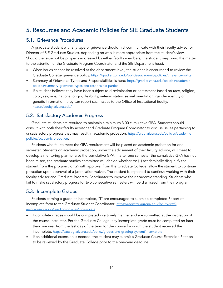# <span id="page-13-0"></span>5. Resources and Academic Policies for SIE Graduate Students

### <span id="page-13-1"></span>5.1. Grievance Procedures

A graduate student with any type of grievance should first communicate with their faculty advisor or Director of SIE Graduate Studies, depending on who is more appropriate from the student's view. Should the issue not be properly addressed by either faculty members, the student may bring the matter to the attention of the Graduate Program Coordinator and the SIE Department head.

- When issues cannot be resolved at the department-level, the student is encouraged to review the Graduate College grievance policy; <https://grad.arizona.edu/policies/academic-policies/grievance-policy>
- Summary of Grievance Types and Responsibilities is here: [https://grad.arizona.edu/policies/academic](https://grad.arizona.edu/policies/academic-policies/summary-grievance-types-and-responsible-parties)[policies/summary-grievance-types-and-responsible-parties](https://grad.arizona.edu/policies/academic-policies/summary-grievance-types-and-responsible-parties)
- If a student believes they have been subject to discrimination or harassment based on race, religion, color, sex, age, national origin, disability, veteran status, sexual orientation, gender identity or genetic information, they can report such issues to the Office of Institutional Equity: <https://equity.arizona.edu/>

### <span id="page-13-2"></span>5.2. Satisfactory Academic Progress

Graduate students are required to maintain a minimum 3.00 cumulative GPA. Students should consult with both their faculty advisor and Graduate Program Coordinator to discuss issues pertaining to unsatisfactory progress that may result in academic probation: [https://grad.arizona.edu/policies/academic](https://grad.arizona.edu/policies/academic-policies/academic-probation)[policies/academic-probation.](https://grad.arizona.edu/policies/academic-policies/academic-probation)

Students who fail to meet the GPA requirement will be placed on academic probation for one semester. Students on academic probation, under the advisement of their faculty advisor, will meet to develop a mentoring plan to raise the cumulative GPA. If after one semester the cumulative GPA has not been raised, the graduate studies committee will decide whether to: (1) academically disqualify the student from the program; or (2) with approval from the Graduate College, allow the student to continue probation upon approval of a justification waiver. The student is expected to continue working with their faculty advisor and Graduate Program Coordinator to improve their academic standing. Students who fail to make satisfactory progress for two consecutive semesters will be dismissed from their program.

### <span id="page-13-3"></span>5.3. Incomplete Grades

Students earning a grade of Incomplete, "I" are encouraged to submit a completed Report of Incomplete form to the Graduate Student Coordinator: [https://registrar.arizona.edu/faculty-staff](https://registrar.arizona.edu/faculty-staff-resources/grading/grading-policies/incomplete)[resources/grading/grading-policies/incomplete](https://registrar.arizona.edu/faculty-staff-resources/grading/grading-policies/incomplete)

- Incomplete grades should be completed in a timely manner and are submitted at the discretion of the course instructor. Per the Graduate College, any incomplete grade must be completed no later than one year from the last day of the term for the course for which the student received the incomplete: <https://catalog.arizona.edu/policy/grades-and-grading-system#incomplete>
- If an additional extension is needed, the student may submit a Graduate Course Extension Petition to be reviewed by the Graduate College prior to the one-year deadline.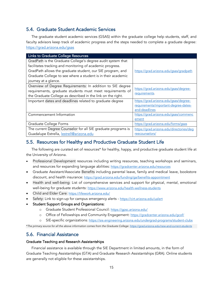### <span id="page-14-0"></span>5.4. Graduate Student Academic Services

The graduate student academic services (GSAS) within the graduate college help students, staff, and faculty advisors keep track of academic progress and the steps needed to complete a graduate degree: <https://grad.arizona.edu/gsas>

| <b>Links to Graduate College Resources</b>                    |                                             |  |  |
|---------------------------------------------------------------|---------------------------------------------|--|--|
| GradPath is the Graduate College's degree audit system that   |                                             |  |  |
| facilitates tracking and monitoring of academic progress.     |                                             |  |  |
| GradPath allows the graduate student, our SIE program, and    | https://grad.arizona.edu/gsas/gradpath      |  |  |
| Graduate College to see where a student is in their academic  |                                             |  |  |
| journey at a glance.                                          |                                             |  |  |
| Overview of Degree Requirements: In addition to SIE degree    |                                             |  |  |
| requirements, graduate students must meet requirements of     | https://grad.arizona.edu/gsas/degree-       |  |  |
| the Graduate College as described in the link on the right.   | requirements.                               |  |  |
| Important dates and deadlines related to graduate degree      | https://grad.arizona.edu/gsas/degree-       |  |  |
|                                                               | <u>requirements/important-degree-dates-</u> |  |  |
|                                                               | and-deadlines                               |  |  |
| Commencement Information                                      | https://grad.arizona.edu/gsas/commenc       |  |  |
|                                                               | ement                                       |  |  |
| Graduate College Forms                                        | https://grad.arizona.edu/forms/gsas         |  |  |
| The current Degree Counselor for all SIE graduate programs is | https://grad.arizona.edu/directories/deg    |  |  |
| Guadalupe Estrella, lestrell@arizona.edu                      | reecounselors/                              |  |  |

### <span id="page-14-1"></span>5.5. Resources for Healthy and Productive Graduate Student Life

The following are curated set of resources\* for healthy, happy, and productive graduate student life at the University of Arizona.

- Professional Development resources including writing resources, teaching workshops and seminars, and resources for expanding language abilities: <https://gradcenter.arizona.edu/resources>
- Graduate Assistant/Associate Benefits including parental leave, family and medical leave, bookstore discount, and health insurance: <https://grad.arizona.edu/funding/ga/benefits-appointment>
- Health and well-being: List of comprehensive services and support for physical, mental, emotional well-being for graduate students: <https://www.arizona.edu/health-wellness-students>
- Child and Elder Care: <https://lifework.arizona.edu/>
- Safety: Link to sign-up for campus emergency alerts <https://cirt.arizona.edu/ualert>
- Student Support Groups and Organizations:
	- o Graduate Student Professional Council: <https://gpsc.arizona.edu/>
	- o Office of Fellowships and Community Engagement: <https://gradcenter.arizona.edu/gcof/>
	- o SIE-specific organizations:<https://sie.engineering.arizona.edu/undergrad-programs/student-clubs>

\**The primary source for all the above information comes from the Graduate College:<https://grad.arizona.edu/new-and-current-students>*

### <span id="page-14-2"></span>5.6. Financial Assistance

#### Graduate Teaching and Research Assistantships

Financial assistance is available through the SIE Department in limited amounts, in the form of Graduate Teaching Assistantships (GTA) and Graduate Research Assistantships (GRA). Online students are generally not eligible for these assistantships.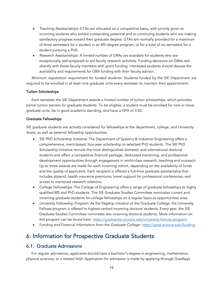- *Teaching Assistantships:* GTAs are allocated on a competitive basis, with priority given to incoming students who exhibit outstanding potential and to continuing students who are making satisfactory progress toward their graduate degree. GTAs are normally provided for a maximum of three semesters for a student in an MS degree program, or for a total of six semesters for a student pursuing a PhD.
- *Research Assistantships:* A limited number of GRAs are available for students who are exceptionally well-prepared to aid faculty research activities. Funding decisions on GRAs rest directly with those faculty members with grant funding. Interested students should discuss the availability and requirements for GRA funding with their faculty advisor.

*Minimum registration requirement for funded students:* Students funded by the SIE Department are required to be enrolled in at least nine graduate units every semester to maintain their appointment.

#### Tuition Scholarships

Each semester the SIE Department awards a limited number of tuition scholarships, which provides partial tuition waivers for graduate students. To be eligible, a student must be enrolled for nine or more graduate units, be in good academic standing, and have a GPA of 3.50.

#### Graduate Fellowships

SIE graduate students are actively considered for fellowships at the department, college, and University levels, as well as external fellowship opportunities.

- *SIE PhD Scholarship Initiative:* The Department of Systems & Industrial Engineering offers a comprehensive, merit-based, four-year scholarship to selected PhD students. The SIE PhD Scholarship Initiative recruits the most distinguished domestic and international doctoral students and offers a competitive financial package, dedicated mentoring, and professional development opportunities through engagement in world-class research, teaching and outreach. Up to three awards are made for each incoming cohort, depending on the availability of funds and the quality of applicants. Each recipient is offered a full-time graduate assistantship that includes stipend, health insurance premiums, travel support for professional conferences, and access to mentored research rotations.
- *College Fellowships:* The College of Engineering offers a range of graduate fellowships to highly qualified MS and PhD students. The SIE Graduate Studies Committee nominates current and incoming graduate students for college fellowships on a regular basis as opportunities arise.
- *University Fellowship Program:* As the flagship initiative of the Graduate College, the University Fellows program is offered to highest-ranked incoming doctoral students. Every year, the SIE Graduate Studies Committee nominates two incoming doctoral students. More information on this program can be found here: [https://gradcenter.arizona.edu/university-fellows-program.](https://gradcenter.arizona.edu/university-fellows-program)
- *Funding and Financial Information from the Graduate College:*<https://grad.arizona.edu/funding>

# <span id="page-15-0"></span>6. Information for Prospective Graduate Students

### <span id="page-15-1"></span>6.1. Graduate Admissions

For regular admissions, applicants should have a bachelor's degree in engineering, mathematics, physical sciences, or a related field. Application for admission is made by applying through GradApp: